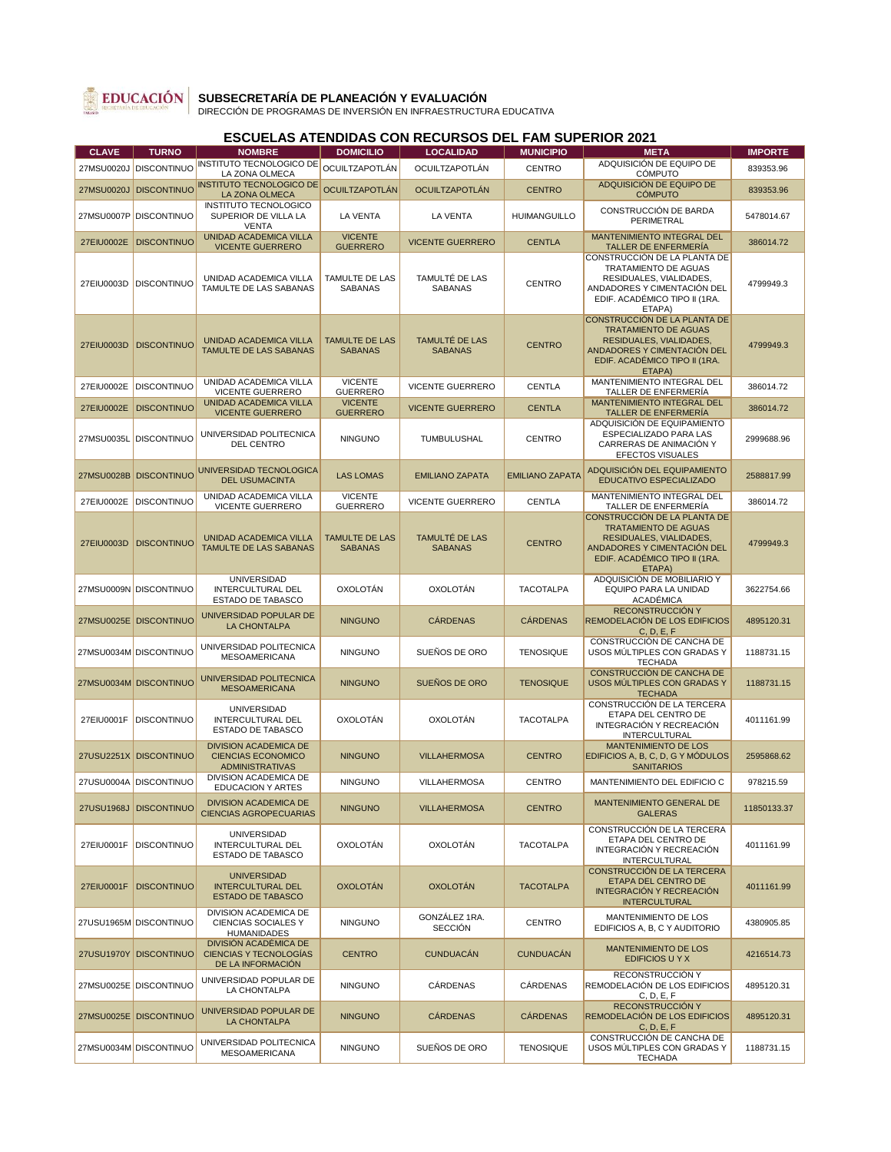

### **SUBSECRETARÍA DE PLANEACIÓN Y EVALUACIÓN** DIRECCIÓN DE PROGRAMAS DE INVERSIÓN EN INFRAESTRUCTURA EDUCATIVA

#### **CLAVE TURNO NOMBRE DOMICILIO LOCALIDAD MUNICIPIO META IMPORTE** 27MSU0020J DISCONTINUO INSTITUTO TECNOLOGICO DE OCUILTZAPOTLÁN TUTO TECNOLOGICO DE OCUILTZAPOTLÁN OCUILTZAPOTLÁN CENTRO ADQUISICIÓN DE EQUIPO DE<br>LA ZONA OLMECA ADQUISICIÓN DE EQUIPO DE 639353.96 27MSU0020J DISCONTINUO INSTITUTO TECNOLOGICO DE UTO TECNOLOGICO DE OCUILTZAPOTLÁN OCUILTZAPOTLÁN CENTRO ADQUISICIÓN DE EQUIPO DE<br>LA ZONA OLMECA CÓMPUTO 27MSU0007P DISCONTINUO INSTITUTO TECNOLOGICO SUPERIOR DE VILLA LA VENTA<br>UNIDAD ACADEMICA VILLA LA VENTA LA VENTA HUIMANGUILLO CONSTRUCCIÓN DE BARDA **PERIMETRAL 5478014.67** 27EIU0002E DISCONTINUO VICENTE GUERRERO VICENTE<br>GUERRERO VICENTE GUERRERO CENTLA MANTENIMIENTO INTEGRAL DEL NTENIMIENTO INTEGRAL DEL 386014.72 27EIU0003D DISCONTINUO UNIDAD ACADEMICA VILLA TAMULTE DE LAS SABANAS TAMULTE DE LAS SABANAS TAMULTÉ DE LAS NULLE DE LAS CENTRO CONSTRUCCIÓN DE LA PLANTA DE TRATAMIENTO DE AGUAS RESIDUALES, VIALIDADES, ANDADORES Y CIMENTACIÓN DEL EDIF. ACADÉMICO TIPO II (1RA. ETAPA) 4799949.3 27EIU0003D DISCONTINUO UNIDAD ACADEMICA VILLA TAMULTE DE LAS SABANAS TAMULTE DE LAS SABANAS TAMULTÉ DE LAS NULTE DE LAS CENTRO CONSTRUCCIÓN DE LA PLANTA DE TRATAMIENTO DE AGUAS RESIDUALES, VIALIDADES, ANDADORES Y CIMENTACIÓN DEL EDIF. ACADÉMICO TIPO II (1RA. ETAPA)<br>MANTENIMIENTO INTEGRAL DEL 4799949.3 27EIU0002E DISCONTINUO UNIDAD ACADEMICA VILLA VICENTE GUERRERO VICENTE<br>GUERRERO GUERRERO VICENTE GUERRERO CENTLA MANTENIMIENTO INTEGRAL DEL TALLER DE ENFERMERÍA 386014.72 27EIU0002E DISCONTINUO UNIDAD ACADEMICA VILLA VICENTE GUERRERO **VICENTE**<br>GUERRERO VICENTE GUERRERO CENTLA MANTENIMIENTO INTEGRAL DEL NTENIMIENTO INTEGRAL DEL 386014.72 27MSU0035L DISCONTINUO UNIVERSIDAD POLITECNICA NINGUNO **TUMBULUSHAL** CENTRO ADQUISICIÓN DE EQUIPAMIENTO ESPECIALIZADO PARA LAS CARRERAS DE ANIMACIÓN Y EFECTOS VISUALES 2999688.96 27MSU0028B DISCONTINUO UNIVERSIDAD TECNOLOGICA ERSIDAD TECNOLOGICA LAS LOMAS EMILIANO ZAPATA EMILIANO ZAPATA ADQUISICIÓN DEL EQUIPAMIENTO 2588817.99<br>DEL USUMACINTA 27EIU0002E DISCONTINUO UNIDAD ACADEMICA VILLA VICENTE GUERRERO **VICENTE**<br>GUERRERO GUERRERO VICENTE GUERRERO CENTLA MANTENIMIENTO INTEGRAL DEL TALLER DE ENFERMERÍA 386014.72 27EIU0003D DISCONTINUO UNIDAD ACADEMICA VILLA TAMULTE DE LAS SABANAS TAMULTE DE LAS SABANAS TAMULTÉ DE LAS NOLIE DE LAS CENTRO CONSTRUCCIÓN DE LA PLANTA DE TRATAMIENTO DE AGUAS RESIDUALES, VIALIDADES, ANDADORES Y CIMENTACIÓN DEL EDIF. ACADÉMICO TIPO II (1RA. ETAPA) 4799949.3 27MSU0009N DISCONTINUO UNIVERSIDAD INTERCULTURAL DEL ESTADO DE TABASCO OXOLOTÁN OXOLOTÁN TACOTALPA ADQUISICIÓN DE MOBILIARIO Y EQUIPO PARA LA UNIDAD **ACADÉMICA** 3622754.66 27MSU0025E DISCONTINUO UNIVERSIDAD POPULAR DE RSIDAD POPULAR DE NINGUNO CÁRDENAS CÁRDENAS **RECONSTRUCCIÓN** REMODELACIÓN DE LOS EDIFICIOS C, D, E, F CONSTRUCCIÓN DE CANCHA DE 4895120.31 27MSU0034M DISCONTINUO UNIVERSIDAD POLITECNICA ERSIDAD POLITECNICA NINGUNO SUEÑOS DE ORO TENOSIQUE USOS MÚLTIPLES CON GRADAS Y **TECHADA** 1188731.15 27MSU0034M DISCONTINUO UNIVERSIDAD POLITECNICA ERSIDAD POLITECNICA | NINGUNO | SUEÑOS DE ORO | TENOSIQUE CONSTRUCCIÓN DE CANCHA DE USOS MÚLTIPLES CON GRADAS Y **TECHADA** 1188731.15 27EIU0001F DISCONTINUO UNIVERSIDAD INTERCULTURAL DEL ESTADO DE TABASCO OXOLOTÁN OXOLOTÁN TACOTALPA CONSTRUCCIÓN DE LA TERCERA ETAPA DEL CENTRO DE INTEGRACIÓN Y RECREACIÓN INTERCULTURAL 4011161.99 27USU2251X DISCONTINUO DIVISION ACADEMICA DE CIENCIAS ECONOMICO ADMINISTRATIVAS<br>DIVISION ACADEMICA DE NINGUNO VILLAHERMOSA CENTRO MANTENIMIENTO DE LOS EDIFICIOS A, B, C, D, G Y MÓDULOS **SANITARIOS** 2595868.62 27USU0004A DISCONTINUO IVISION ACADEMICA DE NINGUNO VILLAHERMOSA CENTRO MANTENIMIENTO DEL EDIFICIO C 978215.59 27USU1968J DISCONTINUO DIVISION ACADEMICA DE NIVISION ACADEMICA DE NINGUNO ULLAHERMOSA CENTRO MANTENIMIENTO GENERAL DE CENCIAS AGROPECUARIAS GALERAS 11850133.37 27EIU0001F DISCONTINUO UNIVERSIDAD INTERCULTURAL DEL ESTADO DE TABASCO OXOLOTÁN OXOLOTÁN TACOTALPA CONSTRUCCIÓN DE LA TERCERA ETAPA DEL CENTRO DE INTEGRACIÓN Y RECREACIÓN INTERCULTURAL 4011161.99 27EIU0001F DISCONTINUO UNIVERSIDAD INTERCULTURAL DEL ESTADO DE TABASCO OXOLOTÁN OXOLOTÁN TACOTALPA CONSTRUCCIÓN DE LA TERCERA ETAPA DEL CENTRO DE INTEGRACIÓN Y RECREACIÓN INTERCULTURAL 4011161.99 27USU1965M DISCONTINUO DIVISION ACADEMICA DE CIENCIAS SOCIALES Y HUMANIDADES NINGUNO GONZÁLEZ 1RA. NZÁLEZ 1RA. CENTRO MANTENIMIENTO DE LOS 4380905.85 27USU1970Y DISCONTINUO DIVISIÓN ACADÉMICA DE CIENCIAS Y TECNOLOGÍAS DE LA INFORMACIÓN CENTRO CUNDUACÁN CUNDUACÁN MANTENIMIENTO DE LOS EDIFICIOS U Y X 4216514.73 27MSU0025E DISCONTINUO UNIVERSIDAD POPULAR DE KSIDAD POPULAR DE NINGUNO CÁRDENAS CÁRDENAS RECONSTRUCCIÓN Y REMODELACIÓN DE LOS EDIFICIOS C, D, E, F 4895120.31 27MSU0025E DISCONTINUO UNIVERSIDAD POPULAR DE ERSIDAD POPULAR DE NINGUNO CÁRDENAS CÁRDENAS RECONSTRUCCIÓN Y REMODELACIÓN DE LOS EDIFICIOS C, D, E, F 4895120.31 27MSU0034M DISCONTINUO UNIVERSIDAD POLITECNICA ERSIDAD POLITECNICA NINGUNO SUEÑOS DE ORO TENOSIQUE CONSTRUCCIÓN DE CANCHA DE USOS MÚLTIPLES CON GRADAS Y **TECHADA** 1188731.15

## **ESCUELAS ATENDIDAS CON RECURSOS DEL FAM SUPERIOR 2021**